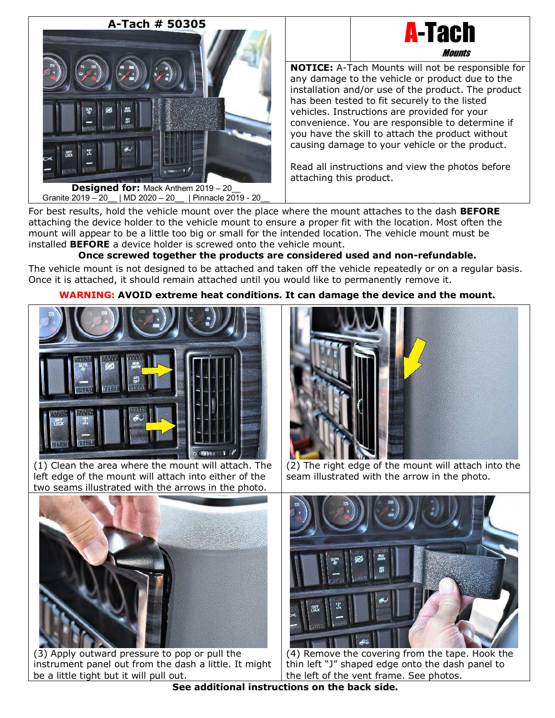

A-Tach **Mounts** 

**NOTICE:** A-Tach Mounts will not be responsible for any damage to the vehicle or product due to the installation and/or use of the product. The product has been tested to fit securely to the listed vehicles. Instructions are provided for your convenience. You are responsible to determine if you have the skill to attach the product without causing damage to your vehicle or the product.

Read all instructions and view the photos before attaching this product.

For best results, hold the vehicle mount over the place where the mount attaches to the dash **BEFORE** attaching the device holder to the vehicle mount to ensure a proper fit with the location. Most often the mount will appear to be a little too big or small for the intended location. The vehicle mount must be installed **BEFORE** a device holder is screwed onto the vehicle mount.

# **Once screwed together the products are considered used and non-refundable.**

The vehicle mount is not designed to be attached and taken off the vehicle repeatedly or on a regular basis. Once it is attached, it should remain attached until you would like to permanently remove it.

## **WARNING: AVOID extreme heat conditions. It can damage the device and the mount.**



(1) Clean the area where the mount will attach. The left edge of the mount will attach into either of the two seams illustrated with the arrows in the photo.



(3) Apply outward pressure to pop or pull the instrument panel out from the dash a little. It might be a little tight but it will pull out.



(2) The right edge of the mount will attach into the seam illustrated with the arrow in the photo.



(4) Remove the covering from the tape. Hook the thin left "J" shaped edge onto the dash panel to the left of the vent frame. See photos.

**See additional instructions on the back side.**